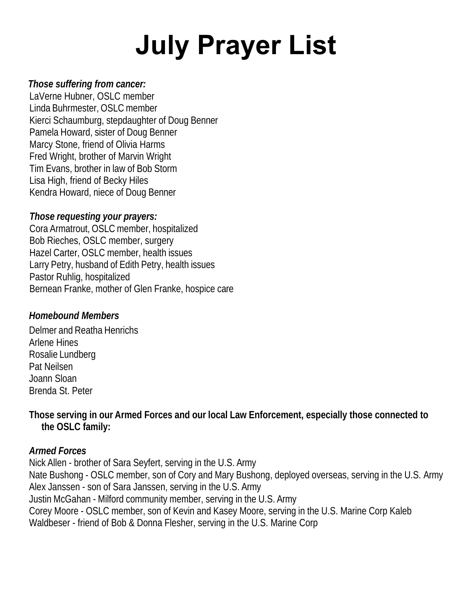# **July Prayer List**

## *Those suffering from cancer:*

LaVerne Hubner, OSLC member Linda Buhrmester, OSLC member Kierci Schaumburg, stepdaughter of Doug Benner Pamela Howard, sister of Doug Benner Marcy Stone, friend of Olivia Harms Fred Wright, brother of Marvin Wright Tim Evans, brother in law of Bob Storm Lisa High, friend of Becky Hiles Kendra Howard, niece of Doug Benner

## *Those requesting your prayers:*

Cora Armatrout, OSLC member, hospitalized Bob Rieches, OSLC member, surgery Hazel Carter, OSLC member, health issues Larry Petry, husband of Edith Petry, health issues Pastor Ruhlig, hospitalized Bernean Franke, mother of Glen Franke, hospice care

## *Homebound Members*

Delmer and Reatha Henrichs Arlene Hines Rosalie Lundberg Pat Neilsen Joann Sloan Brenda St. Peter

**Those serving in our Armed Forces and our local Law Enforcement, especially those connected to the OSLC family:** 

# *Armed Forces*

Nick Allen - brother of Sara Seyfert, serving in the U.S. Army Nate Bushong - OSLC member, son of Cory and Mary Bushong, deployed overseas, serving in the U.S. Army Alex Janssen - son of Sara Janssen, serving in the U.S. Army Justin McGahan - Milford community member, serving in the U.S. Army Corey Moore - OSLC member, son of Kevin and Kasey Moore, serving in the U.S. Marine Corp Kaleb Waldbeser - friend of Bob & Donna Flesher, serving in the U.S. Marine Corp